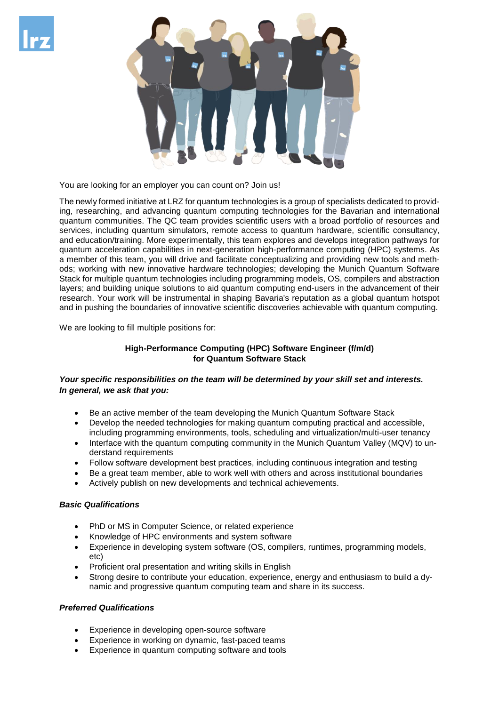



You are looking for an employer you can count on? Join us!

The newly formed initiative at LRZ for quantum technologies is a group of specialists dedicated to providing, researching, and advancing quantum computing technologies for the Bavarian and international quantum communities. The QC team provides scientific users with a broad portfolio of resources and services, including quantum simulators, remote access to quantum hardware, scientific consultancy, and education/training. More experimentally, this team explores and develops integration pathways for quantum acceleration capabilities in next-generation high-performance computing (HPC) systems. As a member of this team, you will drive and facilitate conceptualizing and providing new tools and methods; working with new innovative hardware technologies; developing the Munich Quantum Software Stack for multiple quantum technologies including programming models, OS, compilers and abstraction layers; and building unique solutions to aid quantum computing end-users in the advancement of their research. Your work will be instrumental in shaping Bavaria's reputation as a global quantum hotspot and in pushing the boundaries of innovative scientific discoveries achievable with quantum computing.

We are looking to fill multiple positions for:

# **High-Performance Computing (HPC) Software Engineer (f/m/d) for Quantum Software Stack**

## *Your specific responsibilities on the team will be determined by your skill set and interests. In general, we ask that you:*

- Be an active member of the team developing the Munich Quantum Software Stack
- Develop the needed technologies for making quantum computing practical and accessible, including programming environments, tools, scheduling and virtualization/multi-user tenancy
- Interface with the quantum computing community in the Munich Quantum Valley (MQV) to understand requirements
- Follow software development best practices, including continuous integration and testing
- Be a great team member, able to work well with others and across institutional boundaries
- Actively publish on new developments and technical achievements.

## *Basic Qualifications*

- PhD or MS in Computer Science, or related experience
- Knowledge of HPC environments and system software
- Experience in developing system software (OS, compilers, runtimes, programming models, etc)
- Proficient oral presentation and writing skills in English
- Strong desire to contribute your education, experience, energy and enthusiasm to build a dynamic and progressive quantum computing team and share in its success.

## *Preferred Qualifications*

- Experience in developing open-source software
- Experience in working on dynamic, fast-paced teams
- Experience in quantum computing software and tools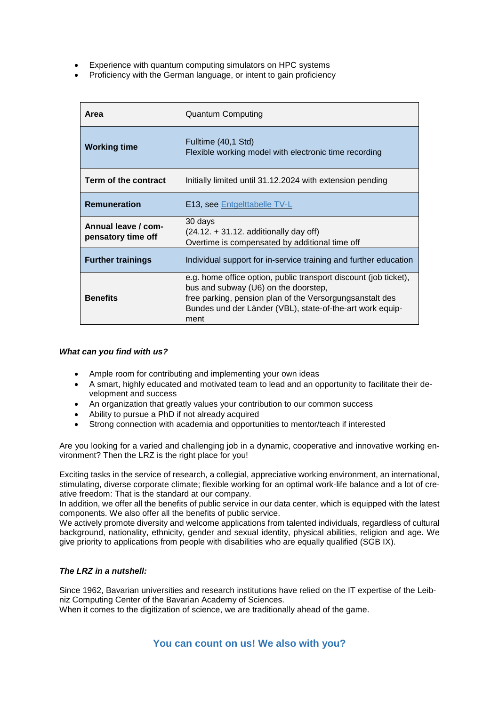- Experience with quantum computing simulators on HPC systems
- Proficiency with the German language, or intent to gain proficiency

| Area                                      | <b>Quantum Computing</b>                                                                                                                                                                                                                  |
|-------------------------------------------|-------------------------------------------------------------------------------------------------------------------------------------------------------------------------------------------------------------------------------------------|
| <b>Working time</b>                       | Fulltime (40,1 Std)<br>Flexible working model with electronic time recording                                                                                                                                                              |
| Term of the contract                      | Initially limited until 31.12.2024 with extension pending                                                                                                                                                                                 |
| <b>Remuneration</b>                       | <b>E13, see Entgelttabelle TV-L</b>                                                                                                                                                                                                       |
| Annual leave / com-<br>pensatory time off | 30 days<br>$(24.12. + 31.12.$ additionally day off)<br>Overtime is compensated by additional time off                                                                                                                                     |
| <b>Further trainings</b>                  | Individual support for in-service training and further education                                                                                                                                                                          |
| <b>Benefits</b>                           | e.g. home office option, public transport discount (job ticket),<br>bus and subway (U6) on the doorstep,<br>free parking, pension plan of the Versorgungsanstalt des<br>Bundes und der Länder (VBL), state-of-the-art work equip-<br>ment |

#### *What can you find with us?*

- Ample room for contributing and implementing your own ideas
- A smart, highly educated and motivated team to lead and an opportunity to facilitate their development and success
- An organization that greatly values your contribution to our common success
- Ability to pursue a PhD if not already acquired
- Strong connection with academia and opportunities to mentor/teach if interested

Are you looking for a varied and challenging job in a dynamic, cooperative and innovative working environment? Then the LRZ is the right place for you!

Exciting tasks in the service of research, a collegial, appreciative working environment, an international, stimulating, diverse corporate climate; flexible working for an optimal work-life balance and a lot of creative freedom: That is the standard at our company.

In addition, we offer all the benefits of public service in our data center, which is equipped with the latest components. We also offer all the benefits of public service.

We actively promote diversity and welcome applications from talented individuals, regardless of cultural background, nationality, ethnicity, gender and sexual identity, physical abilities, religion and age. We give priority to applications from people with disabilities who are equally qualified (SGB IX).

#### *The LRZ in a nutshell:*

Since 1962, Bavarian universities and research institutions have relied on the IT expertise of the Leibniz Computing Center of the Bavarian Academy of Sciences. When it comes to the digitization of science, we are traditionally ahead of the game.

**You can count on us! We also with you?**